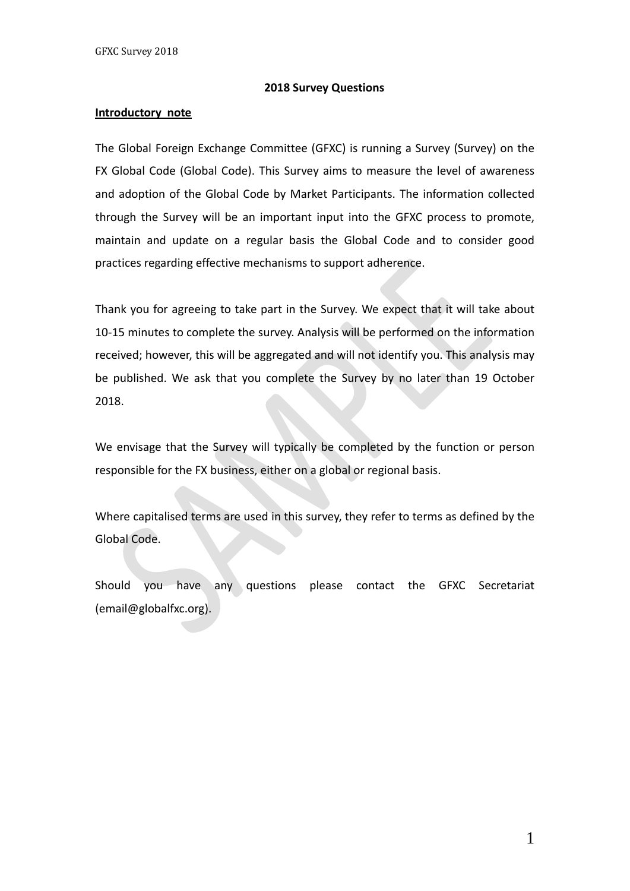#### **2018 Survey Questions**

#### **Introductory note**

The Global Foreign Exchange Committee (GFXC) is running a Survey (Survey) on the FX Global Code (Global Code). This Survey aims to measure the level of awareness and adoption of the Global Code by Market Participants. The information collected through the Survey will be an important input into the GFXC process to promote, maintain and update on a regular basis the Global Code and to consider good practices regarding effective mechanisms to support adherence.

Thank you for agreeing to take part in the Survey. We expect that it will take about 10-15 minutes to complete the survey. Analysis will be performed on the information received; however, this will be aggregated and will not identify you. This analysis may be published. We ask that you complete the Survey by no later than 19 October 2018.

We envisage that the Survey will typically be completed by the function or person responsible for the FX business, either on a global or regional basis.

Where capitalised terms are used in this survey, they refer to terms as defined by the Global Code.

Should you have any questions please contact the GFXC Secretariat (email@globalfxc.org).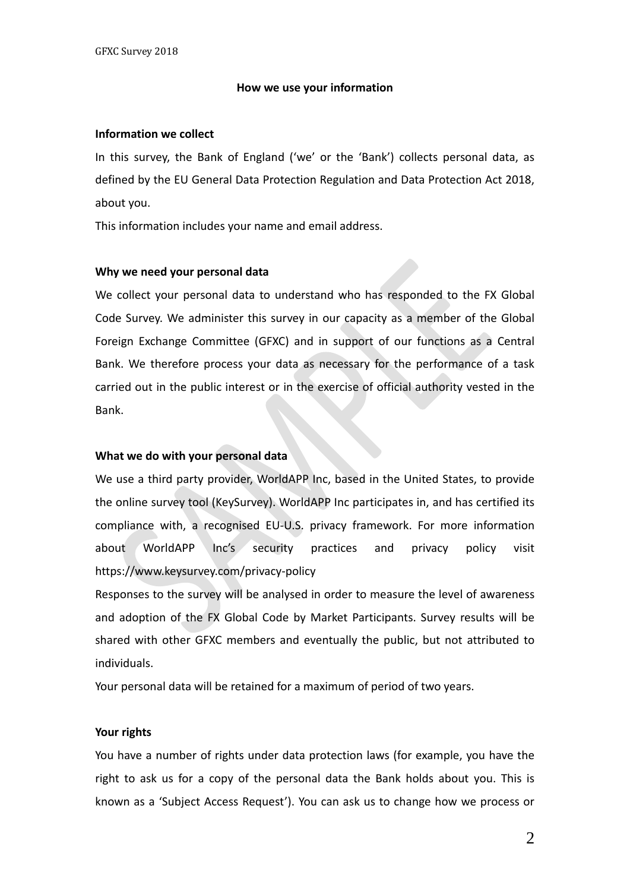#### **How we use your information**

#### **Information we collect**

In this survey, the Bank of England ('we' or the 'Bank') collects personal data, as defined by the EU General Data Protection Regulation and Data Protection Act 2018, about you.

This information includes your name and email address.

#### **Why we need your personal data**

We collect your personal data to understand who has responded to the FX Global Code Survey. We administer this survey in our capacity as a member of the Global Foreign Exchange Committee (GFXC) and in support of our functions as a Central Bank. We therefore process your data as necessary for the performance of a task carried out in the public interest or in the exercise of official authority vested in the Bank.

#### **What we do with your personal data**

We use a third party provider, WorldAPP Inc, based in the United States, to provide the online survey tool (KeySurvey). WorldAPP Inc participates in, and has certified its compliance with, a recognised EU-U.S. privacy framework. For more information about WorldAPP Inc's security practices and privacy policy visit https://www.keysurvey.com/privacy-policy

Responses to the survey will be analysed in order to measure the level of awareness and adoption of the FX Global Code by Market Participants. Survey results will be shared with other GFXC members and eventually the public, but not attributed to individuals.

Your personal data will be retained for a maximum of period of two years.

#### **Your rights**

You have a number of rights under data protection laws (for example, you have the right to ask us for a copy of the personal data the Bank holds about you. This is known as a 'Subject Access Request'). You can ask us to change how we process or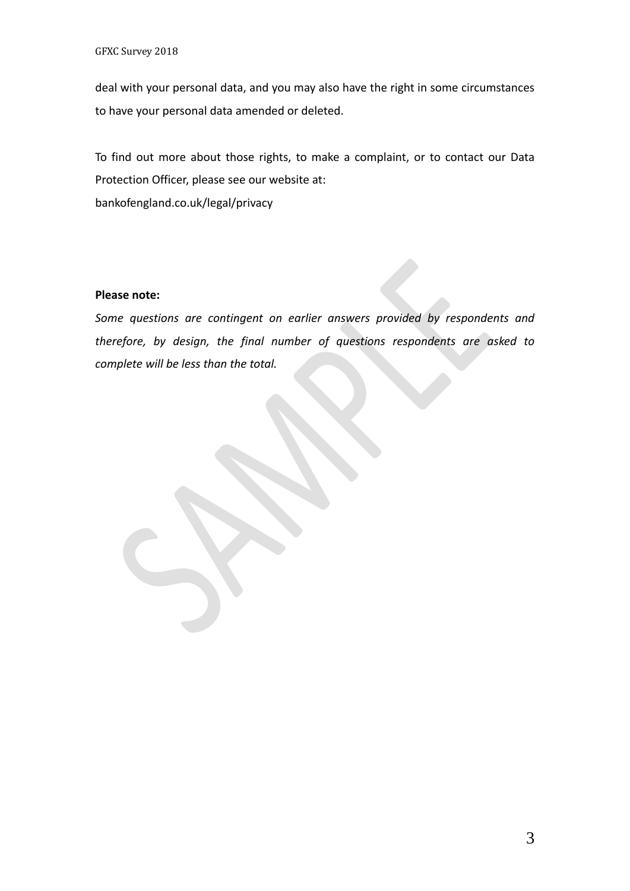deal with your personal data, and you may also have the right in some circumstances to have your personal data amended or deleted.

To find out more about those rights, to make a complaint, or to contact our Data Protection Officer, please see our website at: bankofengland.co.uk/legal/privacy

#### **Please note:**

*Some questions are contingent on earlier answers provided by respondents and therefore, by design, the final number of questions respondents are asked to complete will be less than the total.*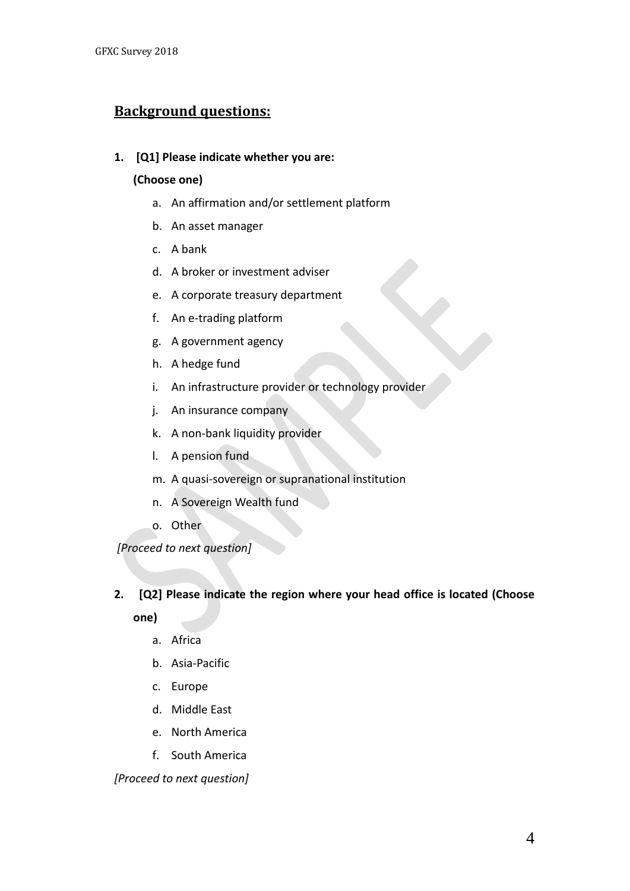## **Background questions:**

### **1. [Q1] Please indicate whether you are:**

### **(Choose one)**

- a. An affirmation and/or settlement platform
- b. An asset manager
- c. A bank
- d. A broker or investment adviser
- e. A corporate treasury department
- f. An e-trading platform
- g. A government agency
- h. A hedge fund
- i. An infrastructure provider or technology provider
- j. An insurance company
- k. A non-bank liquidity provider
- l. A pension fund
- m. A quasi-sovereign or supranational institution
- n. A Sovereign Wealth fund
- o. Other

*[Proceed to next question]* 

### **2. [Q2] Please indicate the region where your head office is located (Choose**

**one)**

- a. Africa
- b. Asia-Pacific
- c. Europe
- d. Middle East
- e. North America
- f. South America

*[Proceed to next question]*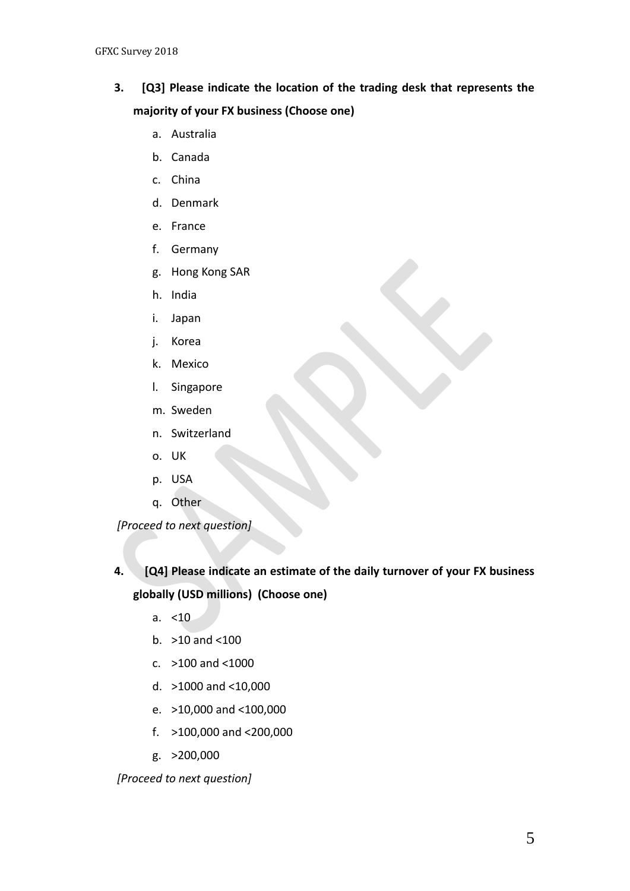- **3. [Q3] Please indicate the location of the trading desk that represents the majority of your FX business (Choose one)**
	- a. Australia
	- b. Canada
	- c. China
	- d. Denmark
	- e. France
	- f. Germany
	- g. Hong Kong SAR
	- h. India
	- i. Japan
	- j. Korea
	- k. Mexico
	- l. Singapore
	- m. Sweden
	- n. Switzerland
	- o. UK
	- p. USA
	- q. Other

*[Proceed to next question]* 

- **4. [Q4] Please indicate an estimate of the daily turnover of your FX business globally (USD millions) (Choose one)**
	- a. <10
	- b. >10 and <100
	- c. >100 and <1000
	- d. >1000 and <10,000
	- e. >10,000 and <100,000
	- f. >100,000 and <200,000
	- g. >200,000

*[Proceed to next question]*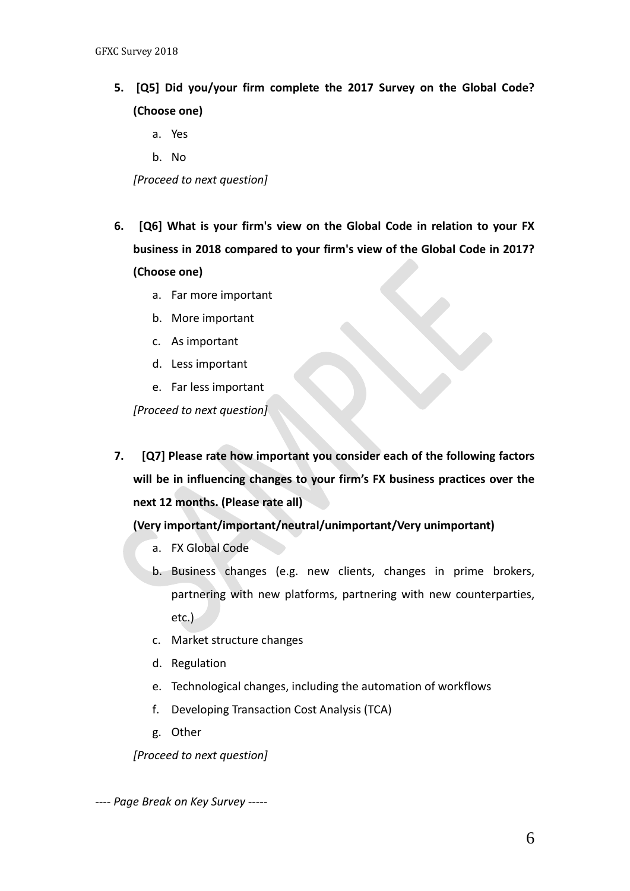- **5. [Q5] Did you/your firm complete the 2017 Survey on the Global Code? (Choose one)**
	- a. Yes
	- b. No

*[Proceed to next question]* 

- **6. [Q6] What is your firm's view on the Global Code in relation to your FX business in 2018 compared to your firm's view of the Global Code in 2017? (Choose one)**
	- a. Far more important
	- b. More important
	- c. As important
	- d. Less important
	- e. Far less important

*[Proceed to next question]* 

**7. [Q7] Please rate how important you consider each of the following factors will be in influencing changes to your firm's FX business practices over the next 12 months. (Please rate all)**

**(Very important/important/neutral/unimportant/Very unimportant)**

- a. FX Global Code
- b. Business changes (e.g. new clients, changes in prime brokers, partnering with new platforms, partnering with new counterparties, etc.)
- c. Market structure changes
- d. Regulation
- e. Technological changes, including the automation of workflows
- f. Developing Transaction Cost Analysis (TCA)
- g. Other

*[Proceed to next question]*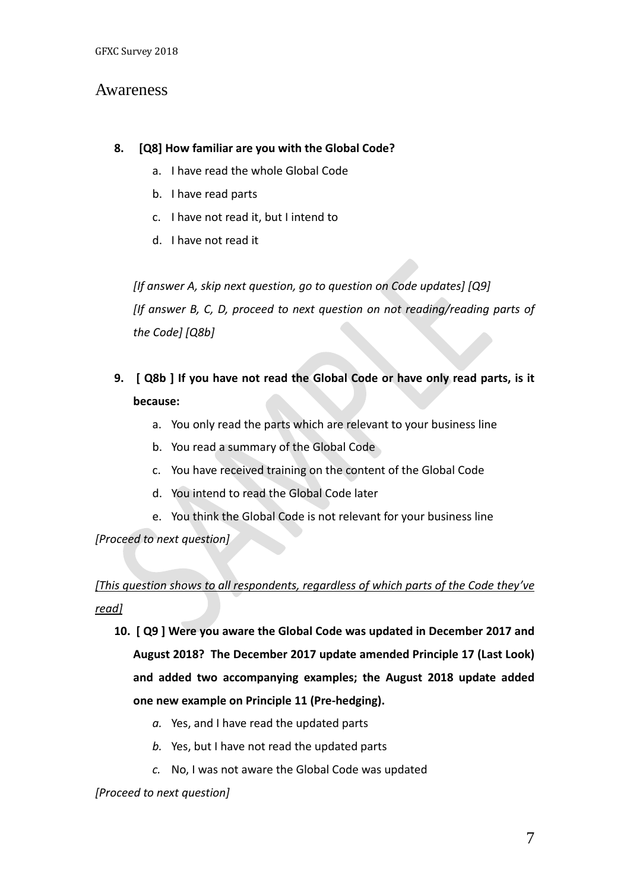## Awareness

### **8. [Q8] How familiar are you with the Global Code?**

- a. I have read the whole Global Code
- b. I have read parts
- c. I have not read it, but I intend to
- d. I have not read it

*[If answer A, skip next question, go to question on Code updates] [Q9] [If answer B, C, D, proceed to next question on not reading/reading parts of the Code] [Q8b]*

- **9. [ Q8b ] If you have not read the Global Code or have only read parts, is it because:** 
	- a. You only read the parts which are relevant to your business line
	- b. You read a summary of the Global Code
	- c. You have received training on the content of the Global Code
	- d. You intend to read the Global Code later
	- e. You think the Global Code is not relevant for your business line

*[Proceed to next question]*

## *[This question shows to all respondents, regardless of which parts of the Code they've read]*

- **10. [ Q9 ] Were you aware the Global Code was updated in December 2017 and August 2018? The December 2017 update amended Principle 17 (Last Look) and added two accompanying examples; the August 2018 update added one new example on Principle 11 (Pre-hedging).** 
	- *a.* Yes, and I have read the updated parts
	- *b.* Yes, but I have not read the updated parts
	- *c.* No, I was not aware the Global Code was updated

#### *[Proceed to next question]*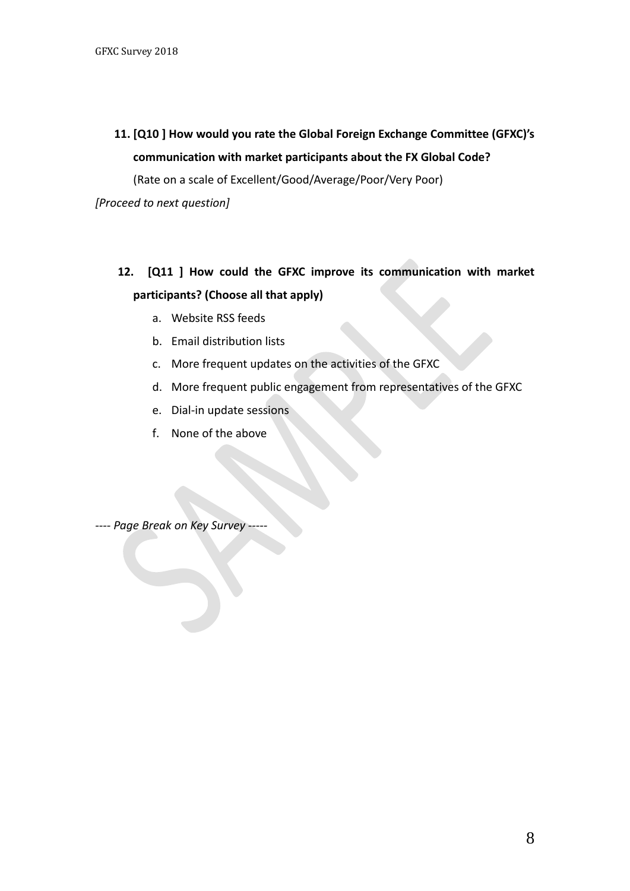**11. [Q10 ] How would you rate the Global Foreign Exchange Committee (GFXC)'s communication with market participants about the FX Global Code?** 

(Rate on a scale of Excellent/Good/Average/Poor/Very Poor)

*[Proceed to next question]*

- **12. [Q11 ] How could the GFXC improve its communication with market participants? (Choose all that apply)**
	- a. Website RSS feeds
	- b. Email distribution lists
	- c. More frequent updates on the activities of the GFXC
	- d. More frequent public engagement from representatives of the GFXC
	- e. Dial-in update sessions
	- f. None of the above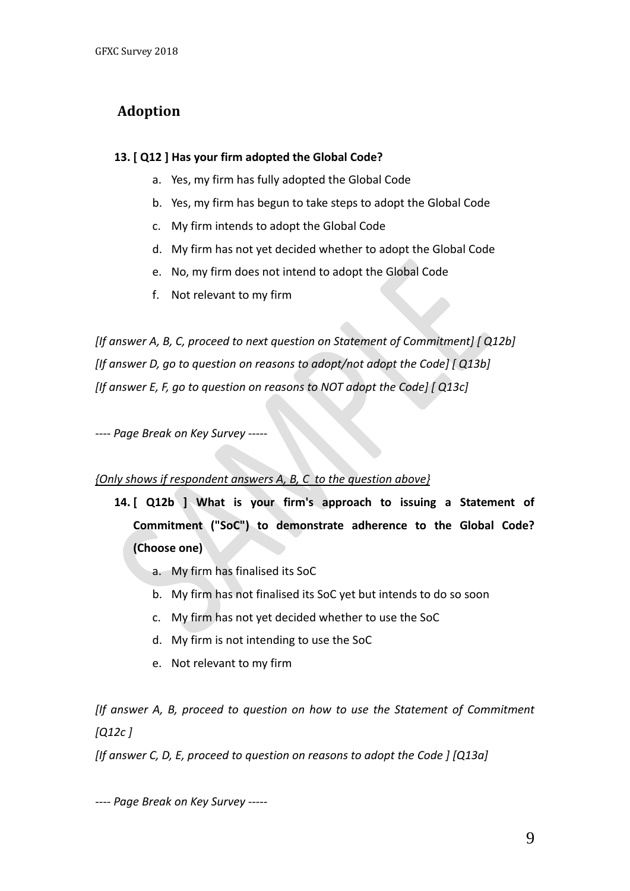# **Adoption**

### **13. [ Q12 ] Has your firm adopted the Global Code?**

- a. Yes, my firm has fully adopted the Global Code
- b. Yes, my firm has begun to take steps to adopt the Global Code
- c. My firm intends to adopt the Global Code
- d. My firm has not yet decided whether to adopt the Global Code
- e. No, my firm does not intend to adopt the Global Code
- f. Not relevant to my firm

*[If answer A, B, C, proceed to next question on Statement of Commitment] [ Q12b] [If answer D, go to question on reasons to adopt/not adopt the Code] [ Q13b] [If answer E, F, go to question on reasons to NOT adopt the Code] [ Q13c]*

*---- Page Break on Key Survey -----*

### *{Only shows if respondent answers A, B, C to the question above}*

- **14. [ Q12b ] What is your firm's approach to issuing a Statement of Commitment ("SoC") to demonstrate adherence to the Global Code? (Choose one)**
	- a. My firm has finalised its SoC
	- b. My firm has not finalised its SoC yet but intends to do so soon
	- c. My firm has not yet decided whether to use the SoC
	- d. My firm is not intending to use the SoC
	- e. Not relevant to my firm

*[If answer A, B, proceed to question on how to use the Statement of Commitment [Q12c ]* 

*[If answer C, D, E, proceed to question on reasons to adopt the Code ] [Q13a]*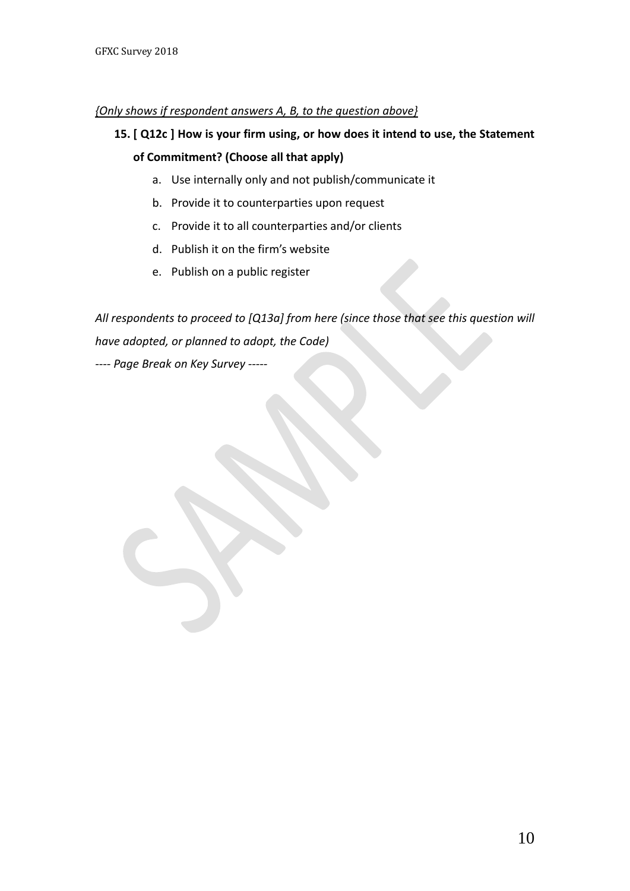### *{Only shows if respondent answers A, B, to the question above}*

## **15. [ Q12c ] How is your firm using, or how does it intend to use, the Statement of Commitment? (Choose all that apply)**

- a. Use internally only and not publish/communicate it
- b. Provide it to counterparties upon request
- c. Provide it to all counterparties and/or clients
- d. Publish it on the firm's website
- e. Publish on a public register

*All respondents to proceed to [Q13a] from here (since those that see this question will have adopted, or planned to adopt, the Code) ---- Page Break on Key Survey -----*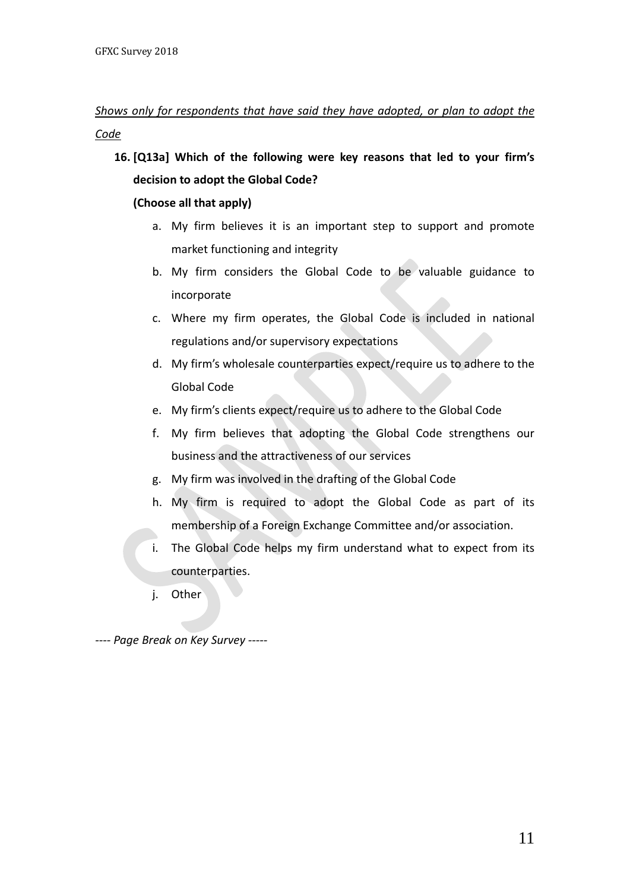## *Shows only for respondents that have said they have adopted, or plan to adopt the Code*

**16. [Q13a] Which of the following were key reasons that led to your firm's decision to adopt the Global Code?**

### **(Choose all that apply)**

- a. My firm believes it is an important step to support and promote market functioning and integrity
- b. My firm considers the Global Code to be valuable guidance to incorporate
- c. Where my firm operates, the Global Code is included in national regulations and/or supervisory expectations
- d. My firm's wholesale counterparties expect/require us to adhere to the Global Code
- e. My firm's clients expect/require us to adhere to the Global Code
- f. My firm believes that adopting the Global Code strengthens our business and the attractiveness of our services
- g. My firm was involved in the drafting of the Global Code
- h. My firm is required to adopt the Global Code as part of its membership of a Foreign Exchange Committee and/or association.
- i. The Global Code helps my firm understand what to expect from its counterparties.
- j. Other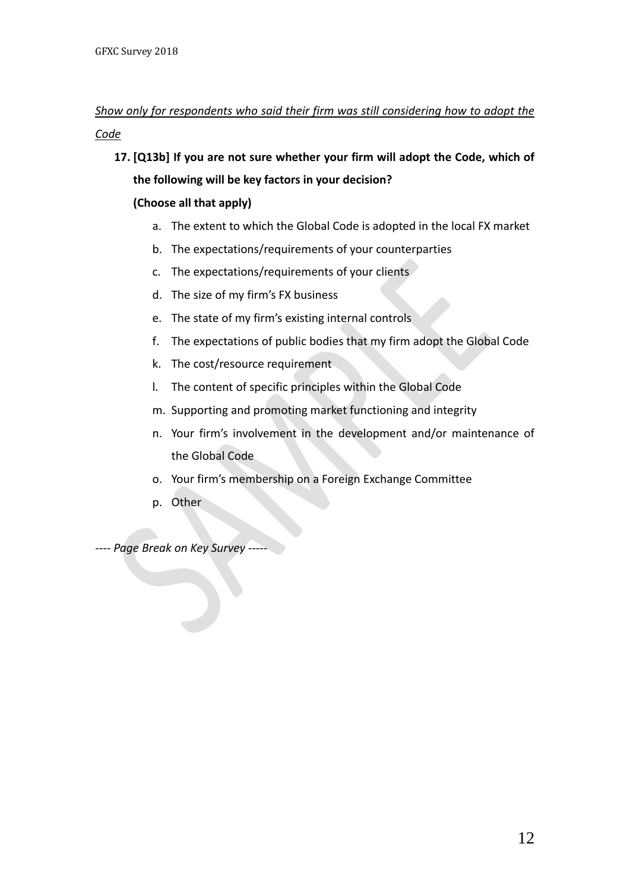## *Show only for respondents who said their firm was still considering how to adopt the Code*

**17. [Q13b] If you are not sure whether your firm will adopt the Code, which of the following will be key factors in your decision?** 

### **(Choose all that apply)**

- a. The extent to which the Global Code is adopted in the local FX market
- b. The expectations/requirements of your counterparties
- c. The expectations/requirements of your clients
- d. The size of my firm's FX business
- e. The state of my firm's existing internal controls
- f. The expectations of public bodies that my firm adopt the Global Code
- k. The cost/resource requirement
- l. The content of specific principles within the Global Code
- m. Supporting and promoting market functioning and integrity
- n. Your firm's involvement in the development and/or maintenance of the Global Code
- o. Your firm's membership on a Foreign Exchange Committee
- p. Other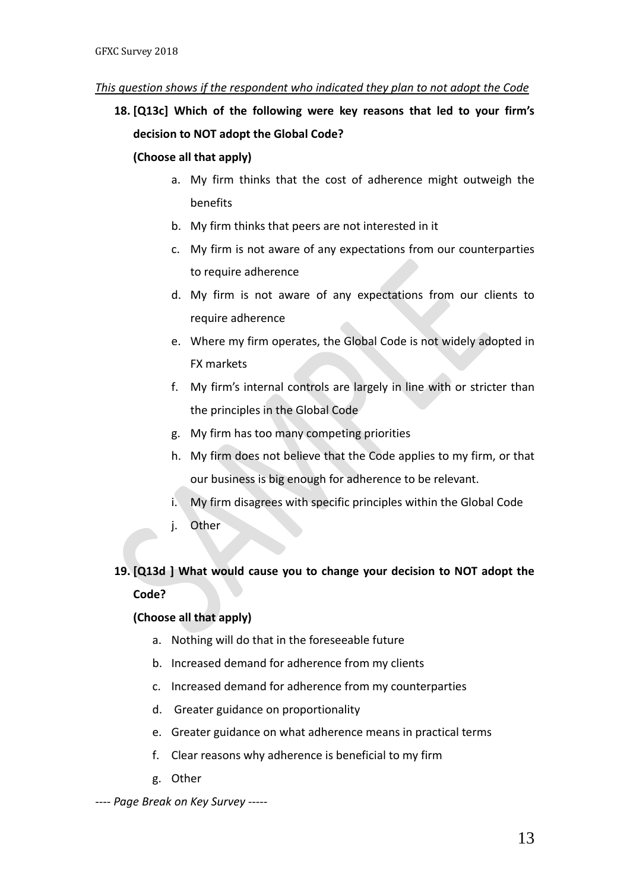#### *This question shows if the respondent who indicated they plan to not adopt the Code*

**18. [Q13c] Which of the following were key reasons that led to your firm's decision to NOT adopt the Global Code?**

#### **(Choose all that apply)**

- a. My firm thinks that the cost of adherence might outweigh the benefits
- b. My firm thinks that peers are not interested in it
- c. My firm is not aware of any expectations from our counterparties to require adherence
- d. My firm is not aware of any expectations from our clients to require adherence
- e. Where my firm operates, the Global Code is not widely adopted in FX markets
- f. My firm's internal controls are largely in line with or stricter than the principles in the Global Code
- g. My firm has too many competing priorities
- h. My firm does not believe that the Code applies to my firm, or that our business is big enough for adherence to be relevant.
- i. My firm disagrees with specific principles within the Global Code
- j. Other

## **19. [Q13d ] What would cause you to change your decision to NOT adopt the Code?**

### **(Choose all that apply)**

- a. Nothing will do that in the foreseeable future
- b. Increased demand for adherence from my clients
- c. Increased demand for adherence from my counterparties
- d. Greater guidance on proportionality
- e. Greater guidance on what adherence means in practical terms
- f. Clear reasons why adherence is beneficial to my firm
- g. Other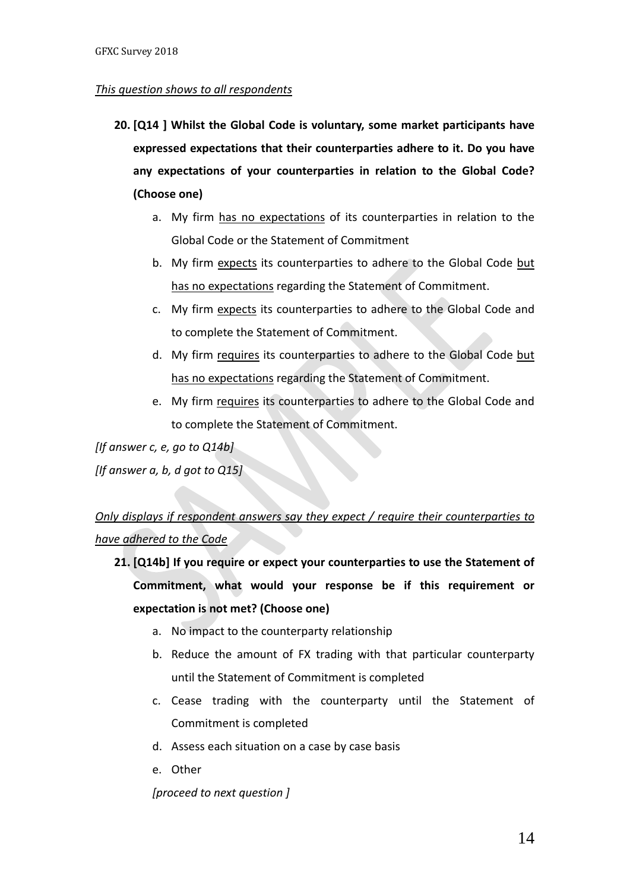#### *This question shows to all respondents*

- **20. [Q14 ] Whilst the Global Code is voluntary, some market participants have expressed expectations that their counterparties adhere to it. Do you have any expectations of your counterparties in relation to the Global Code? (Choose one)**
	- a. My firm has no expectations of its counterparties in relation to the Global Code or the Statement of Commitment
	- b. My firm expects its counterparties to adhere to the Global Code but has no expectations regarding the Statement of Commitment.
	- c. My firm expects its counterparties to adhere to the Global Code and to complete the Statement of Commitment.
	- d. My firm requires its counterparties to adhere to the Global Code but has no expectations regarding the Statement of Commitment.
	- e. My firm requires its counterparties to adhere to the Global Code and to complete the Statement of Commitment.

*[If answer c, e, go to Q14b]*

*[If answer a, b, d got to Q15]*

# *Only displays if respondent answers say they expect / require their counterparties to have adhered to the Code*

- **21. [Q14b] If you require or expect your counterparties to use the Statement of Commitment, what would your response be if this requirement or expectation is not met? (Choose one)**
	- a. No impact to the counterparty relationship
	- b. Reduce the amount of FX trading with that particular counterparty until the Statement of Commitment is completed
	- c. Cease trading with the counterparty until the Statement of Commitment is completed
	- d. Assess each situation on a case by case basis
	- e. Other

*[proceed to next question ]*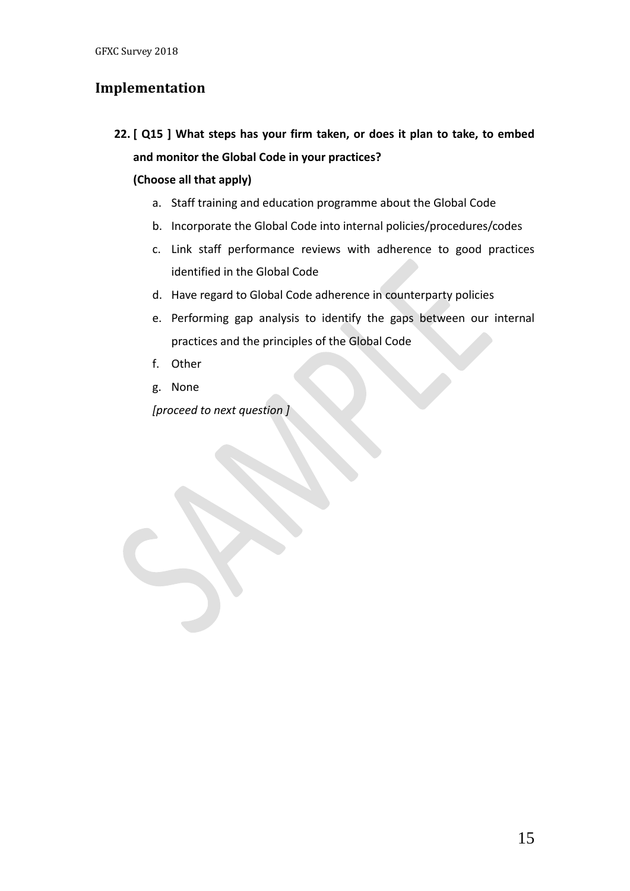## **Implementation**

**22. [ Q15 ] What steps has your firm taken, or does it plan to take, to embed and monitor the Global Code in your practices?** 

### **(Choose all that apply)**

- a. Staff training and education programme about the Global Code
- b. Incorporate the Global Code into internal policies/procedures/codes
- c. Link staff performance reviews with adherence to good practices identified in the Global Code
- d. Have regard to Global Code adherence in counterparty policies
- e. Performing gap analysis to identify the gaps between our internal practices and the principles of the Global Code
- f. Other
- g. None

*[proceed to next question ]*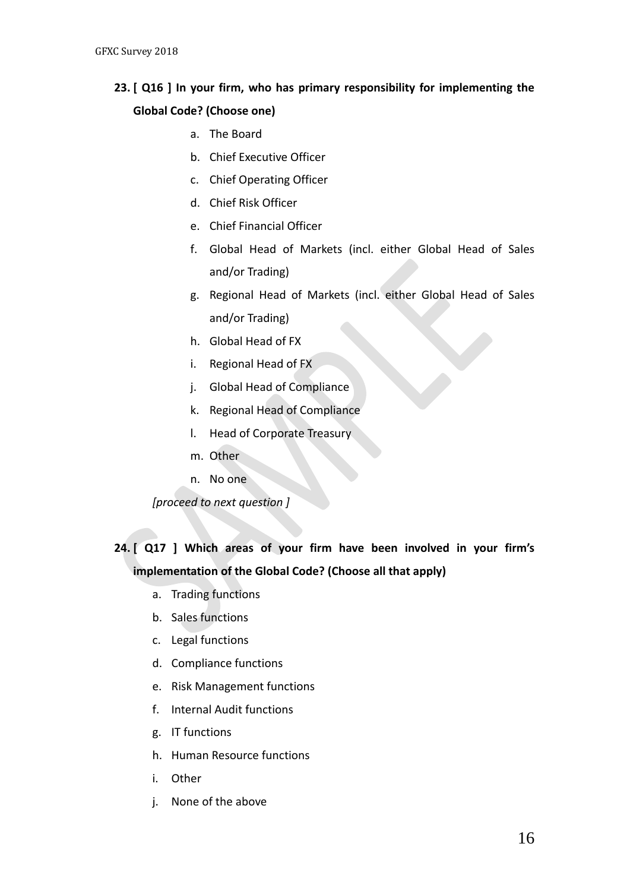# **23. [ Q16 ] In your firm, who has primary responsibility for implementing the Global Code? (Choose one)**

- a. The Board
- b. Chief Executive Officer
- c. Chief Operating Officer
- d. Chief Risk Officer
- e. Chief Financial Officer
- f. Global Head of Markets (incl. either Global Head of Sales and/or Trading)
- g. Regional Head of Markets (incl. either Global Head of Sales and/or Trading)
- h. Global Head of FX
- i. Regional Head of FX
- j. Global Head of Compliance
- k. Regional Head of Compliance
- l. Head of Corporate Treasury
- m. Other
- n. No one

*[proceed to next question ]*

# **24. [ Q17 ] Which areas of your firm have been involved in your firm's implementation of the Global Code? (Choose all that apply)**

- a. Trading functions
- b. Sales functions
- c. Legal functions
- d. Compliance functions
- e. Risk Management functions
- f. Internal Audit functions
- g. IT functions
- h. Human Resource functions
- i. Other
- j. None of the above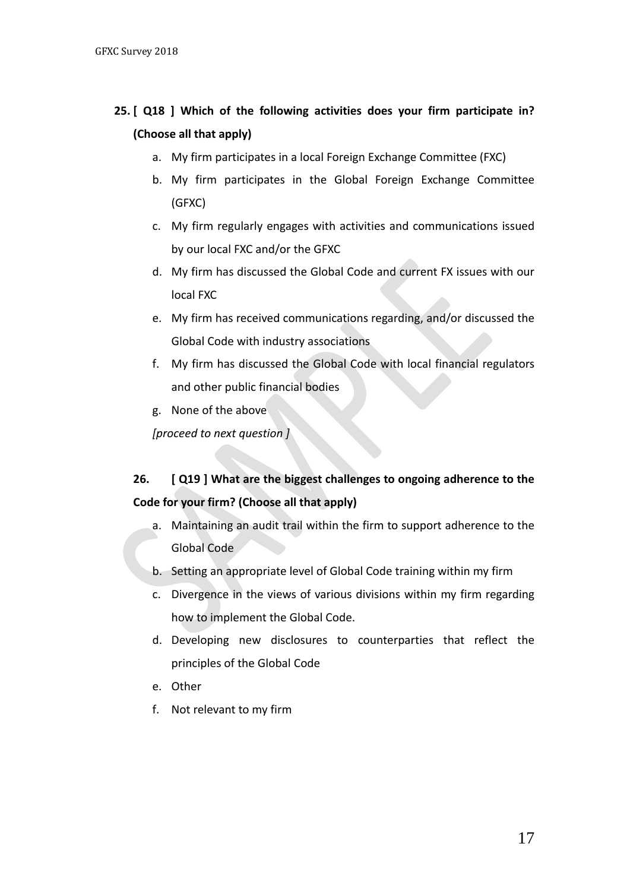# **25. [ Q18 ] Which of the following activities does your firm participate in? (Choose all that apply)**

- a. My firm participates in a local Foreign Exchange Committee (FXC)
- b. My firm participates in the Global Foreign Exchange Committee (GFXC)
- c. My firm regularly engages with activities and communications issued by our local FXC and/or the GFXC
- d. My firm has discussed the Global Code and current FX issues with our local FXC
- e. My firm has received communications regarding, and/or discussed the Global Code with industry associations
- f. My firm has discussed the Global Code with local financial regulators and other public financial bodies
- g. None of the above

*[proceed to next question ]*

# **26. [ Q19 ] What are the biggest challenges to ongoing adherence to the Code for your firm? (Choose all that apply)**

- a. Maintaining an audit trail within the firm to support adherence to the Global Code
- b. Setting an appropriate level of Global Code training within my firm
- c. Divergence in the views of various divisions within my firm regarding how to implement the Global Code.
- d. Developing new disclosures to counterparties that reflect the principles of the Global Code
- e. Other
- f. Not relevant to my firm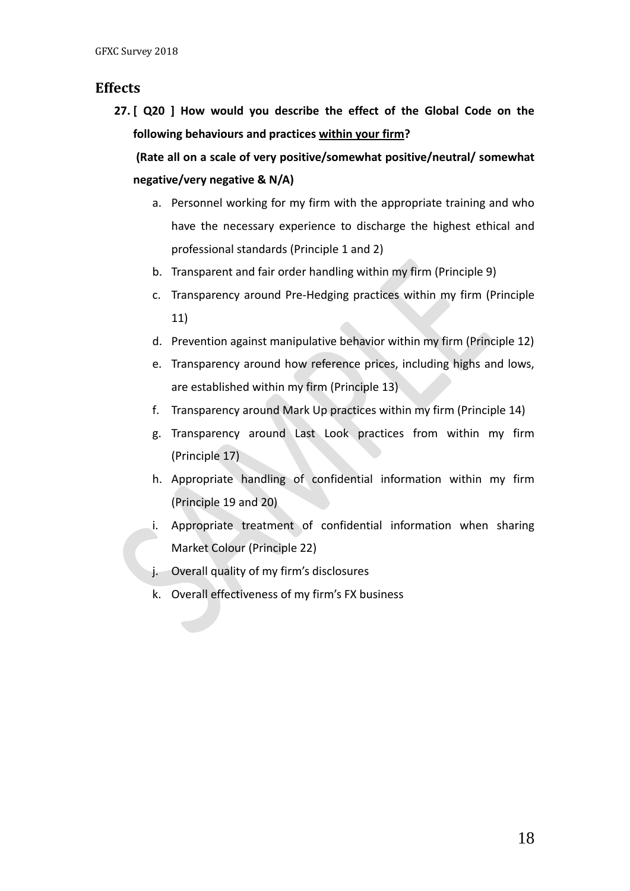### **Effects**

**27. [ Q20 ] How would you describe the effect of the Global Code on the following behaviours and practices within your firm?** 

**(Rate all on a scale of very positive/somewhat positive/neutral/ somewhat negative/very negative & N/A)**

- a. Personnel working for my firm with the appropriate training and who have the necessary experience to discharge the highest ethical and professional standards (Principle 1 and 2)
- b. Transparent and fair order handling within my firm (Principle 9)
- c. Transparency around Pre-Hedging practices within my firm (Principle 11)
- d. Prevention against manipulative behavior within my firm (Principle 12)
- e. Transparency around how reference prices, including highs and lows, are established within my firm (Principle 13)
- f. Transparency around Mark Up practices within my firm (Principle 14)
- g. Transparency around Last Look practices from within my firm (Principle 17)
- h. Appropriate handling of confidential information within my firm (Principle 19 and 20)
- i. Appropriate treatment of confidential information when sharing Market Colour (Principle 22)
- j. Overall quality of my firm's disclosures
- k. Overall effectiveness of my firm's FX business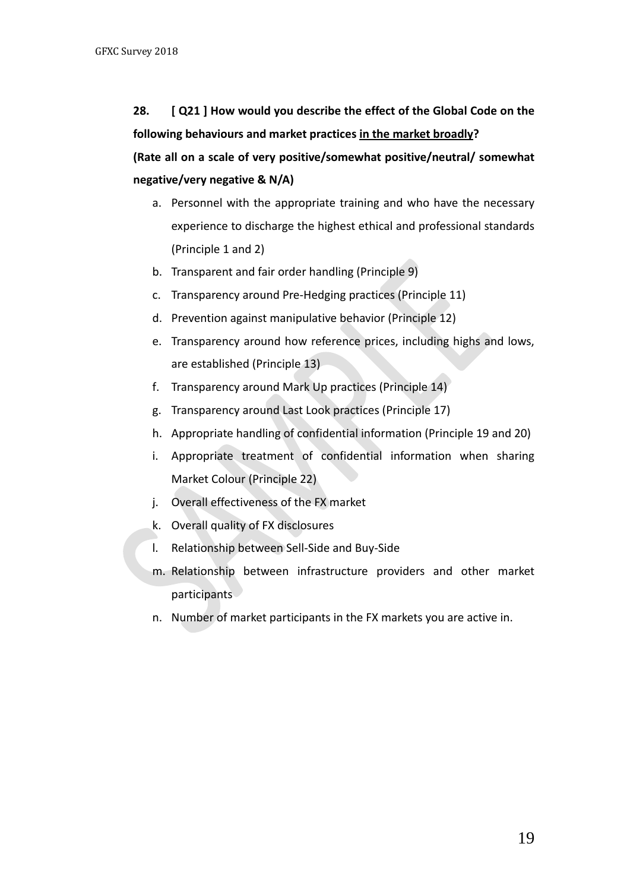**28. [ Q21 ] How would you describe the effect of the Global Code on the following behaviours and market practices in the market broadly?** 

**(Rate all on a scale of very positive/somewhat positive/neutral/ somewhat negative/very negative & N/A)**

- a. Personnel with the appropriate training and who have the necessary experience to discharge the highest ethical and professional standards (Principle 1 and 2)
- b. Transparent and fair order handling (Principle 9)
- c. Transparency around Pre-Hedging practices (Principle 11)
- d. Prevention against manipulative behavior (Principle 12)
- e. Transparency around how reference prices, including highs and lows, are established (Principle 13)
- f. Transparency around Mark Up practices (Principle 14)
- g. Transparency around Last Look practices (Principle 17)
- h. Appropriate handling of confidential information (Principle 19 and 20)
- i. Appropriate treatment of confidential information when sharing Market Colour (Principle 22)
- j. Overall effectiveness of the FX market
- k. Overall quality of FX disclosures
- l. Relationship between Sell-Side and Buy-Side
- m. Relationship between infrastructure providers and other market participants
- n. Number of market participants in the FX markets you are active in.